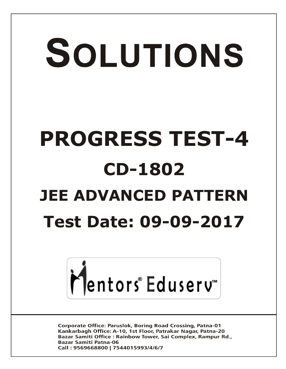# SOLUTIONS **PROGRESS TEST-4 CD-1802 JEE ADVANCED PATTERN Test Date: 09-09-2017**



**Corporate Office: Paruslok, Boring Road Crossing, Patna-01** Kankarbagh Office: A-10, 1st Floor, Patrakar Nagar, Patna-20 Bazar Samiti Office: Rainbow Tower, Sai Complex, Rampur Rd., **Bazar Samiti Patna-06** Call: 9569668800 | 7544015993/4/6/7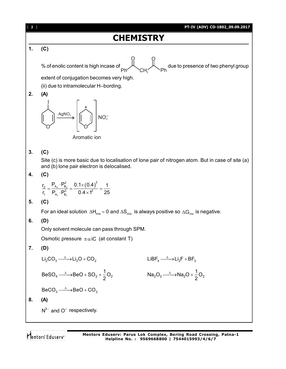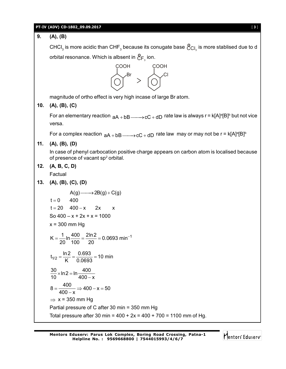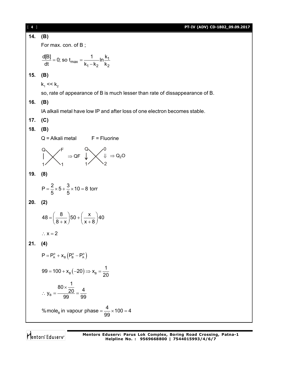[ **4** ] **PT-IV (ADV) CD-1802\_09.09.2017 14. (B)** For max. con. of B ;  $max = \frac{1}{k}$  ln  $\frac{N_1}{k_2}$  $1 - n_2$   $n_2$  $\frac{d[B]}{dt} = 0$ ; so  $t_{\text{max}} = \frac{1}{t}$  In  $\frac{k}{t}$ dt <sup>k</sup> <sup>max</sup> k<sub>1</sub> – k<sub>2</sub> k<sub>2</sub>  $=$  0; so t<sub>max</sub>  $=$  <del>.</del> -**15. (B)**  $k_1$  <<  $k_2$ so, rate of appearance of B is much lesser than rate of dissappearance of B. **16. (B)** IA alkali metal have low IP and after loss of one electron becomes stable. **17. (C) 18. (B)**  $Q =$  Alkali metal  $F =$  Fluorine Q F  $1/$   $\sqrt{1}$  $\Rightarrow$  QF Q  $\sqrt{0}$  $1 / 2$  $\Downarrow \Rightarrow$  Q<sub>2</sub>O **19. (8)**  $P = \frac{2}{5} \times 5 + \frac{3}{5} \times 10 = 8$  torr 5 5  $=\frac{1}{5} \times 5 + \frac{3}{5} \times 10 = 8$ **20. (2)**  $48 = \left(\frac{8}{2}\right) 50 + \left(\frac{x}{2}\right) 40$  $8 + x$   $(x + 8)$  $=\left(\frac{8}{8+x}\right)50+\left(\frac{x}{x+8}\right)4$  $\therefore$  x = 2 **21. (4)**  $P = P_A^o + x_B (P_B^o - P_A^o)$  $_{\text{\tiny B}}(-20)$   $\Rightarrow$   $\mathsf{x}_{_{\text{\tiny B}}}$  $99 = 100 + x_{\rm B}(-20) \Rightarrow x_{\rm B} = \frac{1}{29}$ 20  $=$  100 +  $x_B(-20) \Rightarrow x_B = -$ B  $y_B = \frac{80 \times \frac{1}{20}}{20} = \frac{4}{20}$ 99 99  $\times$  $\therefore$  y<sub>B</sub> =  $\frac{20}{22}$  = -% mole<sub>B</sub> in vapour phase =  $\frac{4}{90} \times 100 = 4$ 99  $=\frac{1}{22} \times 100 = 4$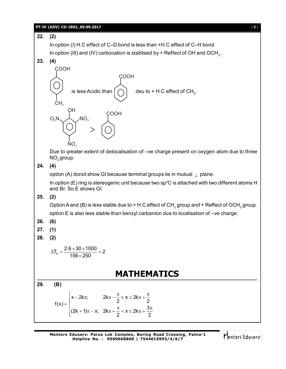#### **PT-IV (ADV) CD-1802\_09.09.2017** [ **5** ]

**22. (2)** In option (I) H.C effect of C–D bond is less than +H.C effect of C–H bond In option (III) and (IV) carbocation is stablised by + Reffect of OH and OCH $_{\textrm{\tiny{3}}}$ . **23. (4)** COOH CH. is less Acidic than COOH deu to + H.C effect of  $CH<sub>3</sub>$ . OH<br>( <sub>NO,</sub> COOH  $NO<sub>2</sub>$  $O_2N$ Due to qreater extent of delocalisation of –ve charge present on oxygen atom due to three NO<sub>2</sub> group. **24. (4)** option (A) donot show GI because terminal groups lie in mutual  $\perp$  plane. In option (E) ring is stereogenic unit because two sp<sup>3</sup>C is attached with two different atoms H and Br. So E shows GI **25. (2)** Option A and (B) is less stable due to + H.C effect of CH $_{_3}$  group and + Reffect of OCH $_{_3}$  group. option E is also less stable than benzyl carbanion due to localisation of –ve charge. **26. (6) 27. (1) 28. (2)**  $T_{b} = \frac{2.6 \times 30 \times 1000}{156 \times 250} = 2$  $156 \times 250$  $\Delta T_{\rm b} = \frac{2.6 \times 30 \times 1000}{150 \text{ s}} = 2$  $\times$ **MATHEMATICS 29. (B)**  $x - 2k\pi$ ;  $2k\pi - \frac{\pi}{2} \le x \le 2k$  $f(x) = \begin{cases} 2 & 2 \end{cases}$  $(2k + 1)\pi - x$ ;  $2k\pi + \frac{\pi}{6} < x \leq 2k\pi + \frac{3}{6}$ 2 2  $\begin{cases} x - 2k\pi; \quad 2k\pi - \frac{\pi}{2} \leq x \leq 2k\pi + \frac{\pi}{2} \end{cases}$  $f(x) = \frac{1}{2}$  $\left[ (2k+1)\pi - x; 2k\pi + \frac{\pi}{2} < x \le 2k\pi + \frac{3\pi}{2} \right]$ 

Mentors<sup>®</sup> Eduserv<sup>®</sup>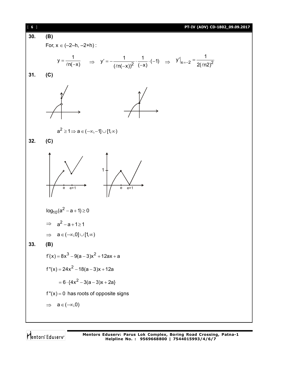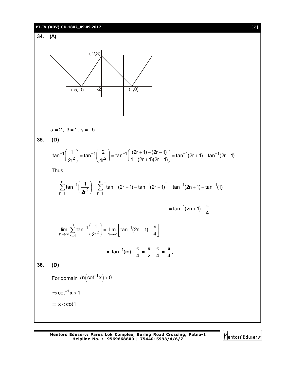# **PT-IV (ADV) CD-1802\_09.09.2017** [ **7** ]



**35. (D)**

**36. (D)**

$$
\tan^{-1}\left(\frac{1}{2r^2}\right) = \tan^{-1}\left(\frac{2}{4r^2}\right) = \tan^{-1}\left(\frac{(2r+1) - (2r-1)}{1 + (2r+1)(2r-1)}\right) = \tan^{-1}(2r+1) - \tan^{-1}(2r-1)
$$

Thus,

$$
\sum_{r=1}^{n} \tan^{-1} \left( \frac{1}{2r^2} \right) = \sum_{r=1}^{n} \left[ \tan^{-1}(2r+1) - \tan^{-1}(2r-1) \right] = \tan^{-1}(2n+1) - \tan^{-1}(1)
$$
  
\n
$$
= \tan^{-1}(2n+1) - \frac{\pi}{4}
$$
  
\n
$$
\therefore \lim_{n \to \infty} \sum_{r=1}^{n} \tan^{-1} \left( \frac{1}{2r^2} \right) = \lim_{n \to \infty} \left[ \tan^{-1}(2n+1) - \frac{\pi}{4} \right]
$$
  
\n
$$
= \tan^{-1}(\infty) - \frac{\pi}{4} = \frac{\pi}{2} - \frac{\pi}{4} = \frac{\pi}{4}.
$$
  
\n(D)  
\nFor domain  $\ln(\cot^{-1} x) > 0$   
\n $\Rightarrow \cot^{-1} x > 1$   
\n $\Rightarrow x < \cot 1$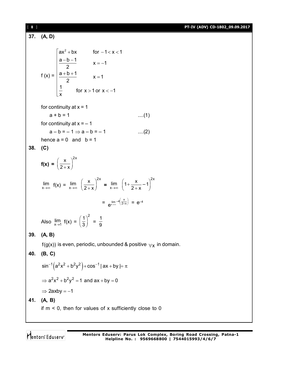[ **8** ] **PT-IV (ADV) CD-1802\_09.09.2017 37. (A, D)** f  $(x) =$  $\begin{bmatrix} ax^2 + bx & for -1 < x < 1 \\ 2 & b & 1 \end{bmatrix}$  $\frac{a - b - 1}{2}$  x = -1 2  $\frac{a + b + 1}{2}$  x = 1 2 1  $\begin{bmatrix} \frac{1}{x} \\ x \end{bmatrix}$  for x > 1 or x < -1 x  $\frac{|a-b-1|}{2}$  x = -1  $\frac{a+b+1}{2}$  x =  $\mathbf{r}$  $\mathbf{r}$ for continuity at  $x = 1$  $a + b = 1$  ....(1) for continuity at  $x = -1$  $a - b = -1 \Rightarrow a - b = -1$  ....(2) hence  $a = 0$  and  $b = 1$ **38. (C) f(x)** =  $\left(\frac{x}{2+x}\right)^{2x}$  $2 + x$  $\lim_{x \to \infty} f(x) = \lim_{x \to \infty} \left( \frac{x}{2+x} \right)^{2x} = \lim_{x \to \infty} \left( 1 + \frac{x}{2+x} - 1 \right)^{2x}$  $1 + \frac{x}{2} - 1 \Big)^{2x}$  $2 + x$  $= e^{\lim_{x \to \infty} -4(\frac{x}{2+x})} = e^{-4}$ Also  $\lim_{x\to 1} f(x) = \left(\frac{1}{3}\right)^2$  $\left(\frac{1}{3}\right)^2 = \frac{1}{9}$ 9 **39. (A, B)**  $f(g(x))$  is even, periodic, unbounded & positive  $\forall x$  in domain. **40. (B, C)**  $\sin^{-1}(a^2x^2 + b^2y^2) + \cos^{-1}|ax + by| = \pi$  $\Rightarrow$   $a^2x^2 + b^2y^2 = 1$  and  $ax + by = 0$  $\Rightarrow$  2axby = -1 **41. (A, B)** if  $m < 0$ , then for values of x sufficiently close to 0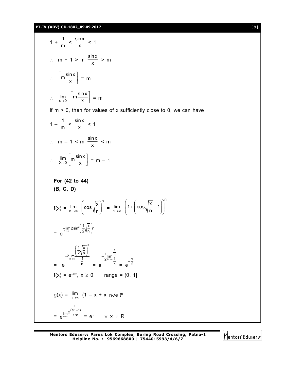**PT-IV (ADV) CD-1802\_09.09.2017** [ **9** ]

$$
1 + \frac{1}{m} < \frac{\sin x}{x} < 1
$$
\n
$$
\therefore \quad m + 1 > m \quad \frac{\sin x}{x} > m
$$
\n
$$
\therefore \quad \left[ m \frac{\sin x}{x} \right] = m
$$
\n
$$
\therefore \quad \lim_{x \to 0} \left[ m \frac{\sin x}{x} \right] = m
$$

If  $m > 0$ , then for values of x sufficiently close to 0, we can have

n

$$
1 - \frac{1}{m} < \frac{\sin x}{x} < 1
$$
\n
$$
\therefore \quad m - 1 < m \quad \frac{\sin x}{x} < m
$$
\n
$$
\therefore \quad \lim_{x \to 0} \left[ m \frac{\sin x}{x} \right] = m - 1
$$

For (42 to 44)  
\n(B, C, D)  
\n
$$
f(x) = \lim_{n \to \infty} \left( \cos \sqrt{\frac{x}{n}} \right)^n = \lim_{n \to \infty} \left( 1 + \left( \cos \sqrt{\frac{x}{n}} - 1 \right) \right)^n
$$
\n
$$
= e^{-\lim_{n \to \infty} 2 \sin^2 \left( \frac{1}{2} \sqrt{\frac{x}{n}} \right)n}
$$
\n
$$
= 2 \lim_{n \to \infty} \frac{\left( \frac{1}{2} \sqrt{\frac{x}{n}} \right)^2}{\frac{1}{n}} - \frac{1}{2} \lim_{n \to \infty} \frac{x}{n}} = e^{-\frac{x}{2}}
$$
\n
$$
f(x) = e^{-x/2}, x \ge 0 \qquad \text{range} = (0, 1]
$$
\n
$$
g(x) = \lim_{n \to \infty} (1 - x + x \text{ } n\sqrt{e})^n
$$
\n
$$
= e^{\lim_{n \to \infty} x \frac{\left(e^{\frac{1}{n}} - 1\right)}{1/n}} = e^x \qquad \forall x \in R
$$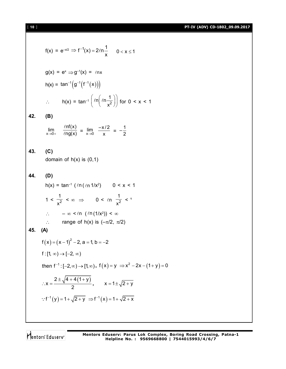[ **10** ] **PT-IV (ADV) CD-1802\_09.09.2017**

$$
f(x) = e^{-x/2} \Rightarrow f^{-1}(x) = 2\ell n \frac{1}{x} \qquad 0 < x \le 1
$$
  
\n
$$
g(x) = e^{x} \Rightarrow g^{-1}(x) = \ell nx
$$
  
\n
$$
h(x) = \tan^{-1} (g^{-1}(f^{-1}(x)))
$$
  
\n
$$
\therefore \qquad h(x) = \tan^{-1} (\ell n (\ell n \frac{1}{x^{2}})) \text{ for } 0 < x < 1
$$
  
\n(B)  
\n
$$
\lim_{x \to 0+} \frac{\ell n f(x)}{\ell n g(x)} = \lim_{x \to 0} \frac{-x/2}{x} = -\frac{1}{2}
$$
  
\n(C)  
\ndomain of  $h(x)$  is (0,1)  
\n(D)  
\n
$$
h(x) = \tan^{-1} (\ell n (\ell n 1/x^{2}) \qquad 0 < x < 1
$$
  
\n
$$
1 < \frac{1}{x^{2}} < \infty \implies 0 < \ell n \frac{1}{x^{2}} < 1
$$

 $\therefore$   $-\infty < \ln(\ln(1/x^2)) < \infty$  $\therefore$  range of h(x) is  $(-\pi/2, \pi/2)$ 

$$
45. (A)
$$

$$
f(x) = (x-1)^2 - 2, a = 1, b = -2
$$
  
f:[1, ∞) → [-2, ∞)  
then f<sup>-1</sup> : [-2, ∞) → [1, ∞), f(x) = y ⇒ x<sup>2</sup> - 2x - (1+y) = 0  
∴ x =  $\frac{2 \pm \sqrt{4 + 4(1+y)}}{2}$ ,  $x = 1 \pm \sqrt{2+y}$   
∴ f<sup>-1</sup>(y) = 1 +  $\sqrt{2+y}$  ⇒ f<sup>-1</sup>(x) = 1 +  $\sqrt{2+x}$ 

Mentors<sup>e</sup> Eduserv<sup>-</sup>

**42. (B)**

**43. (C)**

**44. (D)**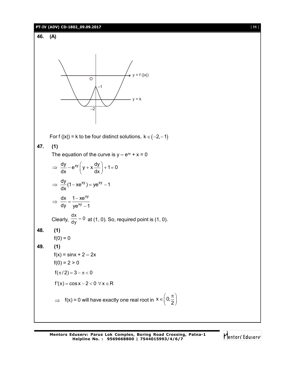#### **PT-IV (ADV) CD-1802\_09.09.2017** [ **11** ]



Mentors Eduserv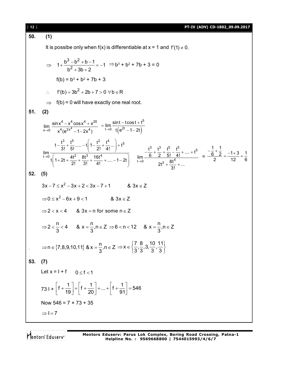| $[ 12 ]$ | PT-IV (ADV) CD-1802_09.09.2017                                                                                                                                                                                                                                                                                                                  |
|----------|-------------------------------------------------------------------------------------------------------------------------------------------------------------------------------------------------------------------------------------------------------------------------------------------------------------------------------------------------|
| 50.      | (1)                                                                                                                                                                                                                                                                                                                                             |
|          | It is possibe only when $f(x)$ is differentiable at $x = 1$ and $f'(1) \neq 0$ .                                                                                                                                                                                                                                                                |
|          | $\Rightarrow 1+\frac{b^3-b^2+b-1}{b^2+2b+2}=-1 \Rightarrow b^3+b^2+7b+3=0$                                                                                                                                                                                                                                                                      |
|          | $f(b) = b3 + b2 + 7b + 3$                                                                                                                                                                                                                                                                                                                       |
|          | $f'(b) = 3b^2 + 2b + 7 > 0 \ \forall b \in R$<br>$\therefore$                                                                                                                                                                                                                                                                                   |
|          | $f(b) = 0$ will have exactly one real root.<br>$\Rightarrow$                                                                                                                                                                                                                                                                                    |
| 51.      | (2)                                                                                                                                                                                                                                                                                                                                             |
|          | $\lim_{x\to 0} \frac{\sin x^4 - x^4 \cos x^4 + x^{20}}{x^4 (e^{2x^4} - 1 - 2x^4)} = \lim_{t\to 0} \frac{\sin t - t \cos t + t^5}{t (e^{2t} - 1 - 2t)}$                                                                                                                                                                                          |
|          | $\lim_{t\to 0} \frac{t-\frac{t^3}{3!}+\frac{t^5}{5!}-t\left(1-\frac{t^2}{2!}+\frac{t^4}{4!} \right)+t^5}{t\left[1+2t+\frac{4t^2}{2!}+\frac{8t^3}{3!}+\frac{16t^4}{4!}+-1-2t\right]} \lim_{t\to 0} \frac{-\frac{t^3}{6}+\frac{t^3}{2}+\frac{t^5}{5!}-\frac{t^5}{4!}++t^5}{2t^3+\frac{8t^4}{4!}+} = \frac{-\frac{1}{6}+\frac{1}{2}}{2} = \frac{-$ |
| 52.      | (5)                                                                                                                                                                                                                                                                                                                                             |
|          | $3x-7 \le x^2-3x+2 < 3x-7+1$ & $3x \in Z$                                                                                                                                                                                                                                                                                                       |
|          | $\Rightarrow$ 0 $\le$ x <sup>2</sup> - 6x + 9 < 1 & 3x $\in$ Z                                                                                                                                                                                                                                                                                  |
|          | $\Rightarrow$ 2 < x < 4 & 3x = n for some n $\in$ Z                                                                                                                                                                                                                                                                                             |
|          | ⇒ 2 < $\frac{n}{3}$ < 4 & x = $\frac{n}{3}$ , n ∈ Z ⇒ 6 < n < 12 & x = $\frac{n}{3}$ , n ∈ Z                                                                                                                                                                                                                                                    |
|          | ⇒n ∈ {7,8,9,10,11} & x = $\frac{n}{3}$ ,n ∈ Z ⇒ x ∈ $\left\{\frac{7}{3}, \frac{8}{3}, 3, \frac{10}{3}, \frac{11}{3}\right\}$                                                                                                                                                                                                                    |
| 53.      | (7)                                                                                                                                                                                                                                                                                                                                             |
|          | Let $x = 1 + f$ 0 $\le f < 1$                                                                                                                                                                                                                                                                                                                   |
|          | 73   $+ \left  f + \frac{1}{19} \right  + \left  f + \frac{1}{20} \right  +  + \left  f + \frac{1}{91} \right  = 546$                                                                                                                                                                                                                           |
|          | Now $546 = 7 \times 73 + 35$                                                                                                                                                                                                                                                                                                                    |
|          | $\Rightarrow$ I = 7                                                                                                                                                                                                                                                                                                                             |
|          |                                                                                                                                                                                                                                                                                                                                                 |

Mentors<sup>®</sup> Eduserv<sup>®</sup>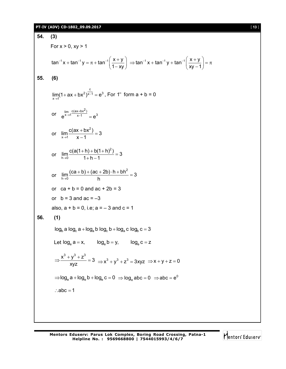#### **PT-IV (ADV) CD-1802\_09.09.2017** [ **13** ]

**54. (3)** For  $x > 0$ ,  $xy > 1$  $\tan^{-1} x + \tan^{-1} y = \pi + \tan^{-1} \left( \frac{x + y}{4} \right)$  $1 - xy$  $1 - 1$  x + tan<sup>-1</sup> y =  $\pi$  + tan<sup>-1</sup>  $\left(\frac{x + y}{1 - xy}\right)$   $\Rightarrow$  tan<sup>-1</sup> x + tan<sup>-1</sup> y + tan<sup>-1</sup>  $\left(\frac{x + y}{xy - 1}\right)$  $xy - 1$ ⇒ tan<sup>-1</sup> x + tan<sup>-1</sup> y + tan<sup>-1</sup>  $\left(\frac{x+y}{xy-1}\right) = \pi$ **55. (6)** c  $2\overline{)x-1} = e^3$  $\lim_{x \to 1} (1 + ax + bx^2)^{\overline{x-1}} = e^3$ , For 1<sup>∞</sup> form a + b = 0 or  $e^{lim_{x\to 1} \frac{c(ax+bx^2)}{x-1}} = e^3$  $\frac{n}{\rightarrow}$   $\frac{c(ax+bx^2)}{x-1}$  = or 2  $\lim_{x\to 1} \frac{c(ax + bx^2)}{x - 1} = 3$  $\rightarrow$ 1  $x-1$  $\frac{+bx^2}{4}$  =  $\overline{\phantom{a}}$ or 2  $\lim_{h\to 0} \frac{c(a(1+h)+b(1+h)^2)}{1+h-1} = 3$  $\rightarrow 0$  1+h-1  $\frac{(n+1)+b(1+h)^2}{2}$  =  $+h-1$ or 2  $\lim_{h\to 0} \frac{(ca + b) + (ac + 2b) \cdot h + bh^2}{h} = 3$  $\rightarrow 0$  h  $\frac{(ab)+(ac+2b)\cdot h+bh^2}{h}$ or  $ca + b = 0$  and  $ac + 2b = 3$ or  $b = 3$  and  $ac = -3$ also,  $a + b = 0$ , i.e;  $a = -3$  and  $c = 1$ **56. (1)**  $log_b a log_c a + log_a b log_c b + log_a c log_b c = 3$ Let  $log_e a = x$ ,  $log_e b = y$ ,  $log_e c = z$  $\frac{x^3 + y^3 + z^3}{2} = 3$ xyz  $\Rightarrow \frac{x^3 + y^3 + z^3}{xyz} = 3 \Rightarrow x^3 + y^3 + z^3 = 3xyz \Rightarrow x + y + z = 0$  $\Rightarrow$  log $_{\rm e}$  a + log $_{\rm e}$  b + log $_{\rm e}$  c = 0  $\;\Rightarrow$  log $_{\rm e}$  abc = 0  $\;\Rightarrow$  abc =  ${\rm e}^0$  $:abc = 1$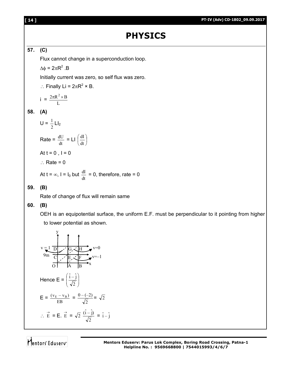#### **[ 14 ] PT-IV (Adv) CD-1802\_09.09.2017**

# **PHYSICS**

## **57. (C)**

Flux cannot change in a superconduction loop.

 $\Delta \phi = 2\pi R^2$ .B

Initially current was zero, so self flux was zero.

 $\therefore$  Finally Li =  $2\pi R^2 \times B$ .

$$
i = \frac{2\pi R^2 \times B}{L}
$$

### **58. (A)**

 $U = \frac{1}{2}$  $\frac{1}{2}$  LI<sub>2</sub>

Rate = 
$$
\frac{dU}{dt}
$$
 = LI  $\left(\frac{dI}{dt}\right)$   
At t = 0, I = 0  
 $\therefore$  Rate = 0  
At t =  $\infty$ , I = I<sub>0</sub> but  $\frac{dI}{dt}$  = 0, therefore, rate = 0

#### **59. (B)**

Rate of change of flux will remain same

#### **60. (B)**

OEH is an equipotential surface, the uniform E.F. must be perpendicular to it pointing from higher to lower potential as shown.



Mentors<sup>e</sup> Eduserv<sup>-</sup>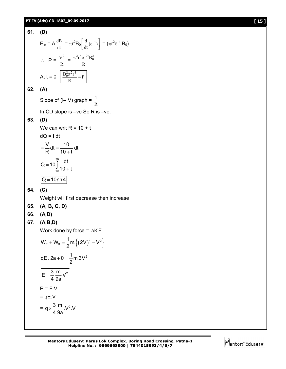#### **PT-IV (Adv) CD-1802\_09.09.2017 [ 15 ]**

#### **61. (D)**  $E_{in} = A \frac{du}{dt}$  $rac{dB}{dt} = \pi r^2 B_0 \left[ \frac{d}{dt} (e^{-t}) \right]$  $\overline{\phantom{a}}$ L  $\left[ \frac{d}{dt} (e^{-t}) \right] = (\pi r^2 e^{-t} B_0)$  $\therefore$  P =  $\frac{v}{R}$  $\frac{V^2}{R} = \frac{\pi^2 r^4 e^-}{R}$  $\pi^2 r^4 e^{-2t} B_0^2$ At t = 0  $\frac{D_0 R}{R} = P$  $rac{B_0^2 \pi^2 r^4}{D}$

#### **62. (A)**

Slope of (I– V) graph =  $\frac{1}{R}$ 1

In CD slope is –ve So R is –ve.

#### **63. (D)**

We can writ  $R = 10 + t$ dQ = I dt  $\frac{V}{R}$ dt =  $\frac{10}{12}$  dt  $R$  10 + t  $=\frac{v}{D}dt = \ddot{}$ 30  $Q = 10 \int_{0}^{30} \frac{dt}{10}$  $=$  $\int_{10}^{10}$  10 +

$$
\frac{1}{10}10 + t
$$
  
Q = 10ln4

## **64. (C)**

Weight will first decrease then increase

- **65. (A, B, C, D)**
- **66. (A,D)**

$$
67. (A,B,D)
$$

Work done by force =  $\triangle$ K.E

$$
W_{E} + W_{B} = \frac{1}{2} m \left\{ \left( 2V \right)^{2} - V^{2} \right\}
$$
  
qE. 2a + 0 =  $\frac{1}{2}$ m.3V<sup>2</sup>  

$$
E = \frac{3}{4} \frac{m}{9a} V^{2}
$$
  
P = F.V  
= qE.V  
= q ×  $\frac{3}{4} \frac{m}{9a}$ .V<sup>2</sup> V

**Mentors Eduserv: Parus Lok Complex, Boring Road Crossing, Patna-1 Helpline No. : 9569668800 | 7544015993/4/6/7**

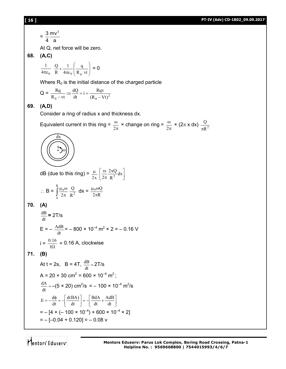#### **[ 16 ] PT-IV (Adv) CD-1802\_09.09.2017**

$$
=\frac{3}{4}\frac{mv^3}{a}
$$

At Q, net force will be zero.

**68. (A,C)** 

$$
\frac{1}{4\pi\epsilon_0} \frac{Q}{R} + \frac{1}{4\pi\epsilon_0} \left(\frac{q}{R_0 \text{ vt}}\right) = 0
$$

Where  $R_0$  is the initial distance of the charged particle

$$
Q = \frac{Rq}{R_0 - vt} \Rightarrow \frac{dQ}{dt} = i = \frac{Rqv}{(R_0 - Vt)^2}
$$

#### **69. (A,D)**

Consider a ring of radius x and thickness dx.

Equivalent current in this ring =  $\frac{\omega}{2\pi}$  $\omega$  $\frac{\omega}{2\pi}$  × change on ring =  $\frac{\omega}{2\pi}$  $\omega$  $\frac{\omega}{2\pi}$  × (2 $\pi$  x dx)  $\frac{Q}{\pi R^2}$ π

$$
\begin{pmatrix}\n\overrightarrow{dx} \\
\overrightarrow{y} \\
\overrightarrow{y}\n\end{pmatrix}
$$

dB (due to this ring) =  $\frac{\mu}{2x}$  $\mu$  $\rfloor$  $\overline{\phantom{a}}$  $\overline{\mathsf{L}}$  $\mathbf{r}$  $\pi$  $\frac{\omega}{\omega} \frac{2xQ}{2} dx$ R 2xQ  $2\pi R^2$ 

$$
\therefore B = \int_{0}^{R} \frac{\mu_0 \omega}{2\pi} \frac{Q}{R^2} dx = \frac{\mu_0 \omega Q}{2\pi R}
$$

**70. (A)**

$$
\frac{dB}{dt} = 2T/s
$$
  
E = - $\frac{AdB}{dt}$  = -800 × 10<sup>-4</sup> m<sup>2</sup> × 2 = -0.16 V  
i =  $\frac{0.16}{1\Omega}$  = 0.16 A, clockwise

**71. (B)**

At t = 2s, B = 4T, 
$$
\frac{dB}{dt} = 2T/s
$$
  
\nA = 20 × 30 cm<sup>2</sup> = 600 × 10<sup>-4</sup> m<sup>2</sup>;  
\n $\frac{dA}{dt} = -(5 \times 20) \text{ cm}^2/\text{s} = -100 \times 10^{-4} \text{ m}^2/\text{s}$   
\nE =  $-\frac{d\phi}{dt} = -\left[\frac{d(BA)}{dt}\right] = -\left[\frac{BdA}{dt} + \frac{AdB}{dt}\right]$   
\n=  $- [4 \times (-100 \times 10^{-4}) + 600 \times 10^{-4} \times 2]$   
\n=  $- [-0.04 + 0.120] = -0.08 \text{ v}$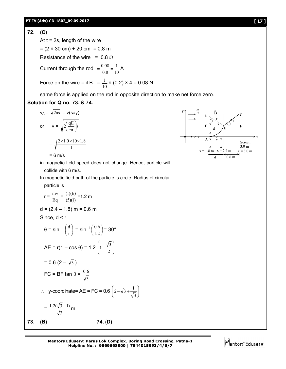#### **72. (C)**

At  $t = 2s$ , length of the wire

 $= (2 \times 30 \text{ cm}) + 20 \text{ cm} = 0.8 \text{ m}$ Resistance of the wire =  $0.8 \Omega$ 

Current through the rod 
$$
=\frac{0.08}{0.8} = \frac{1}{10} A
$$

Force on the wire = il B = 
$$
\frac{1}{10}
$$
 × (0.2) × 4 = 0.08 N

same force is applied on the rod in opposite direction to make net force zero.

## **Solution for Q no. 73. & 74.**

$$
v_A = \sqrt{2as} = v(say)
$$
  
or 
$$
v = \sqrt{2\left(\frac{qE}{m}\right)s}
$$

$$
= \sqrt{\frac{2 \times 1.0 \times 10 \times 1.8}{1}}
$$

 $= 6$  m/s

in magnetic field speed does not change. Hence, particle will collide with 6 m/s.

In magnetic field path of the particle is circle. Radius of circular

particle is

$$
r = \frac{mv}{Bq} = \frac{(1)(6)}{(5)(1)} = 1.2 m
$$
  
\n
$$
d = (2.4 - 1.8) m = 0.6 m
$$
  
\nSince,  $d < r$   
\n
$$
\theta = \sin^{-1} \left(\frac{d}{r}\right) = \sin^{-1} \left(\frac{0.6}{1.2}\right) = 30^{\circ}
$$
  
\n
$$
AE = r(1 - \cos \theta) = 1.2 \left(1 - \frac{\sqrt{3}}{2}\right)
$$
  
\n
$$
= 0.6 (2 - \sqrt{3})
$$
  
\n
$$
FC = BF \tan \theta = \frac{0.6}{\sqrt{3}}
$$
  
\n
$$
\therefore y\text{-coordinate} = AE = FC = 0.6 \left(2 - \sqrt{3} + \frac{1}{\sqrt{3}}\right)
$$
  
\n
$$
= \frac{1.2(\sqrt{3} - 1)}{\sqrt{3}} m
$$

**73. (B) 74.** (**D)**

**Mentors Eduserv: Parus Lok Complex, Boring Road Crossing, Patna-1 Helpline No. : 9569668800 | 7544015993/4/6/7**

j J  $\mathcal{L}$ 



# Mentors<sup>e</sup> Eduserv<sup>®</sup>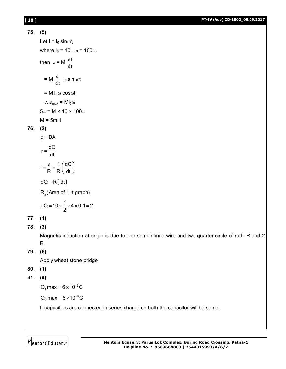#### **[ 18 ] PT-IV (Adv) CD-1802\_09.09.2017**

```
75. (5)
         Let I = I_0 sinot,
         where I_0 = 10, \omega = 100 \pithen \varepsilon = M \frac{dH}{dt}d I
             = M \frac{d}{dt}\frac{\mathrm{d}}{\mathrm{d}} I<sub>0</sub> sin \omegat
            = M I_0 \omega \cos \omega t\therefore \varepsilon_{\text{max}} = M I_0 \omega5\pi = M × 10 × 100\piM = 5mH76. (2)
         \phi = BAdQ
                 dt
          =\frac{1}{3}i = \frac{\varepsilon}{R} = \frac{1}{R} \left( \frac{dQ}{dt} \right)R R dt
            =\frac{\varepsilon}{R}=\frac{1}{R}\left(\frac{dQ}{dt}\right)dQ = R (idt)R_{x}(Area of i, -t graph)
          dQ = 10 \times \frac{1}{2} \times 4 \times 0.1 = 22
                =10\times -\times 4\times 0.1=277. (1)
78. (3)
         Magnetic induction at origin is due to one semi-infinite wire and two quarter circle of radii R and 2 
         R. 
79. (6)
         Apply wheat stone bridge
```
- **80. (1)**
- **81. (9)**

 $Q_1$  max = 6  $\times$  10<sup>-3</sup> C

 $Q_2$  max =  $8 \times 10^{-3}$  C

If capacitors are connected in series charge on both the capacitor will be same.